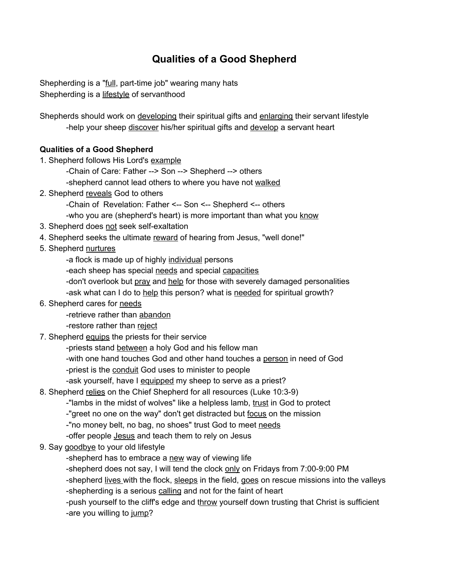## **Qualities of a Good Shepherd**

Shepherding is a "full, part-time job" wearing many hats Shepherding is a lifestyle of servanthood

Shepherds should work on *developing* their spiritual gifts and enlarging their servant lifestyle -help your sheep discover his/her spiritual gifts and develop a servant heart

## **Qualities of a Good Shepherd**

1. Shepherd follows His Lord's example

-Chain of Care: Father --> Son --> Shepherd --> others

-shepherd cannot lead others to where you have not walked

2. Shepherd reveals God to others

-Chain of Revelation: Father <-- Son <-- Shepherd <-- others

- -who you are (shepherd's heart) is more important than what you know
- 3. Shepherd does not seek self-exaltation
- 4. Shepherd seeks the ultimate reward of hearing from Jesus, "well done!"
- 5. Shepherd nurtures
	- -a flock is made up of highly individual persons
	- -each sheep has special needs and special capacities
	- -don't overlook but pray and help for those with severely damaged personalities

-ask what can I do to help this person? what is needed for spiritual growth?

- 6. Shepherd cares for needs
	- -retrieve rather than abandon
	- -restore rather than reject
- 7. Shepherd equips the priests for their service

-priests stand between a holy God and his fellow man

-with one hand touches God and other hand touches a person in need of God

-priest is the conduit God uses to minister to people

-ask yourself, have I equipped my sheep to serve as a priest?

8. Shepherd relies on the Chief Shepherd for all resources (Luke 10:3-9)

-"lambs in the midst of wolves" like a helpless lamb, trust in God to protect

-"greet no one on the way" don't get distracted but focus on the mission

-"no money belt, no bag, no shoes" trust God to meet needs

-offer people **Jesus** and teach them to rely on Jesus

9. Say goodbye to your old lifestyle

-shepherd has to embrace a new way of viewing life

-shepherd does not say, I will tend the clock only on Fridays from 7:00-9:00 PM

-shepherd lives with the flock, sleeps in the field, goes on rescue missions into the valleys -shepherding is a serious calling and not for the faint of heart

-push yourself to the cliff's edge and throw yourself down trusting that Christ is sufficient -are you willing to jump?